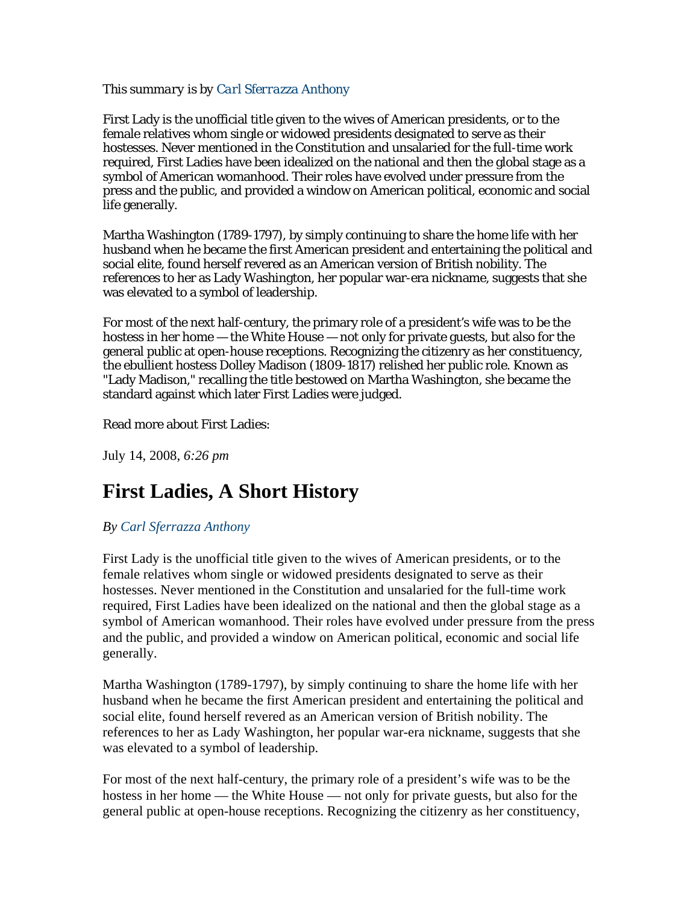## *This summary is by Carl Sferrazza Anthony*

First Lady is the unofficial title given to the wives of American presidents, or to the female relatives whom single or widowed presidents designated to serve as their hostesses. Never mentioned in the Constitution and unsalaried for the full-time work required, First Ladies have been idealized on the national and then the global stage as a symbol of American womanhood. Their roles have evolved under pressure from the press and the public, and provided a window on American political, economic and social life generally.

Martha Washington (1789-1797), by simply continuing to share the home life with her husband when he became the first American president and entertaining the political and social elite, found herself revered as an American version of British nobility. The references to her as Lady Washington, her popular war-era nickname, suggests that she was elevated to a symbol of leadership.

For most of the next half-century, the primary role of a president's wife was to be the hostess in her home — the White House — not only for private guests, but also for the general public at open-house receptions. Recognizing the citizenry as her constituency, the ebullient hostess Dolley Madison (1809-1817) relished her public role. Known as "Lady Madison," recalling the title bestowed on Martha Washington, she became the standard against which later First Ladies were judged.

## Read more about First Ladies:

July 14, 2008, *6:26 pm*

## **First Ladies, A Short History**

## *By Carl Sferrazza Anthony*

First Lady is the unofficial title given to the wives of American presidents, or to the female relatives whom single or widowed presidents designated to serve as their hostesses. Never mentioned in the Constitution and unsalaried for the full-time work required, First Ladies have been idealized on the national and then the global stage as a symbol of American womanhood. Their roles have evolved under pressure from the press and the public, and provided a window on American political, economic and social life generally.

Martha Washington (1789-1797), by simply continuing to share the home life with her husband when he became the first American president and entertaining the political and social elite, found herself revered as an American version of British nobility. The references to her as Lady Washington, her popular war-era nickname, suggests that she was elevated to a symbol of leadership.

For most of the next half-century, the primary role of a president's wife was to be the hostess in her home — the White House — not only for private guests, but also for the general public at open-house receptions. Recognizing the citizenry as her constituency,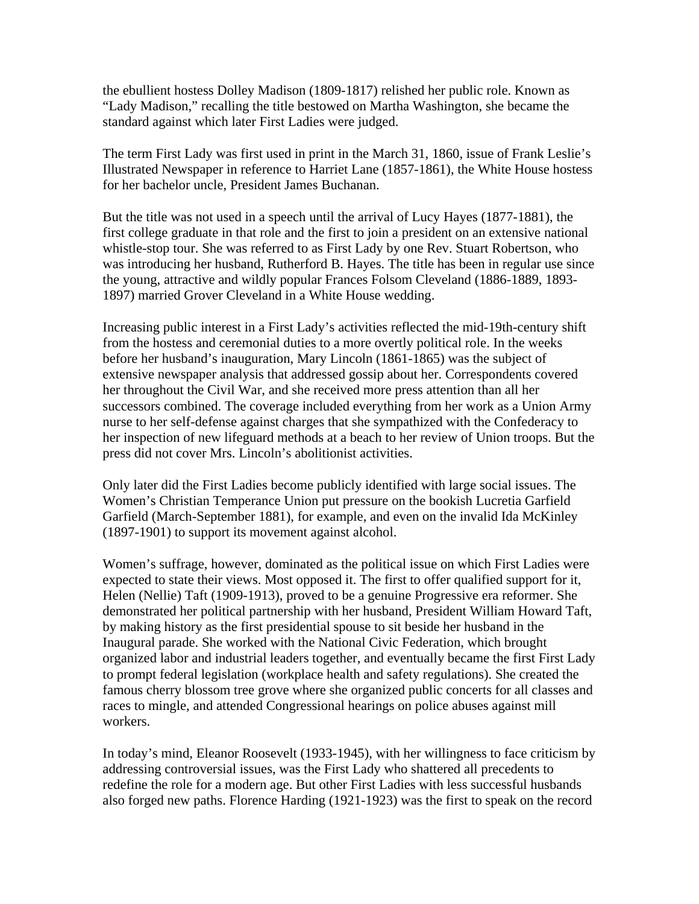the ebullient hostess Dolley Madison (1809-1817) relished her public role. Known as "Lady Madison," recalling the title bestowed on Martha Washington, she became the standard against which later First Ladies were judged.

The term First Lady was first used in print in the March 31, 1860, issue of Frank Leslie's Illustrated Newspaper in reference to Harriet Lane (1857-1861), the White House hostess for her bachelor uncle, President James Buchanan.

But the title was not used in a speech until the arrival of Lucy Hayes (1877-1881), the first college graduate in that role and the first to join a president on an extensive national whistle-stop tour. She was referred to as First Lady by one Rev. Stuart Robertson, who was introducing her husband, Rutherford B. Hayes. The title has been in regular use since the young, attractive and wildly popular Frances Folsom Cleveland (1886-1889, 1893- 1897) married Grover Cleveland in a White House wedding.

Increasing public interest in a First Lady's activities reflected the mid-19th-century shift from the hostess and ceremonial duties to a more overtly political role. In the weeks before her husband's inauguration, Mary Lincoln (1861-1865) was the subject of extensive newspaper analysis that addressed gossip about her. Correspondents covered her throughout the Civil War, and she received more press attention than all her successors combined. The coverage included everything from her work as a Union Army nurse to her self-defense against charges that she sympathized with the Confederacy to her inspection of new lifeguard methods at a beach to her review of Union troops. But the press did not cover Mrs. Lincoln's abolitionist activities.

Only later did the First Ladies become publicly identified with large social issues. The Women's Christian Temperance Union put pressure on the bookish Lucretia Garfield Garfield (March-September 1881), for example, and even on the invalid Ida McKinley (1897-1901) to support its movement against alcohol.

Women's suffrage, however, dominated as the political issue on which First Ladies were expected to state their views. Most opposed it. The first to offer qualified support for it, Helen (Nellie) Taft (1909-1913), proved to be a genuine Progressive era reformer. She demonstrated her political partnership with her husband, President William Howard Taft, by making history as the first presidential spouse to sit beside her husband in the Inaugural parade. She worked with the National Civic Federation, which brought organized labor and industrial leaders together, and eventually became the first First Lady to prompt federal legislation (workplace health and safety regulations). She created the famous cherry blossom tree grove where she organized public concerts for all classes and races to mingle, and attended Congressional hearings on police abuses against mill workers.

In today's mind, Eleanor Roosevelt (1933-1945), with her willingness to face criticism by addressing controversial issues, was the First Lady who shattered all precedents to redefine the role for a modern age. But other First Ladies with less successful husbands also forged new paths. Florence Harding (1921-1923) was the first to speak on the record